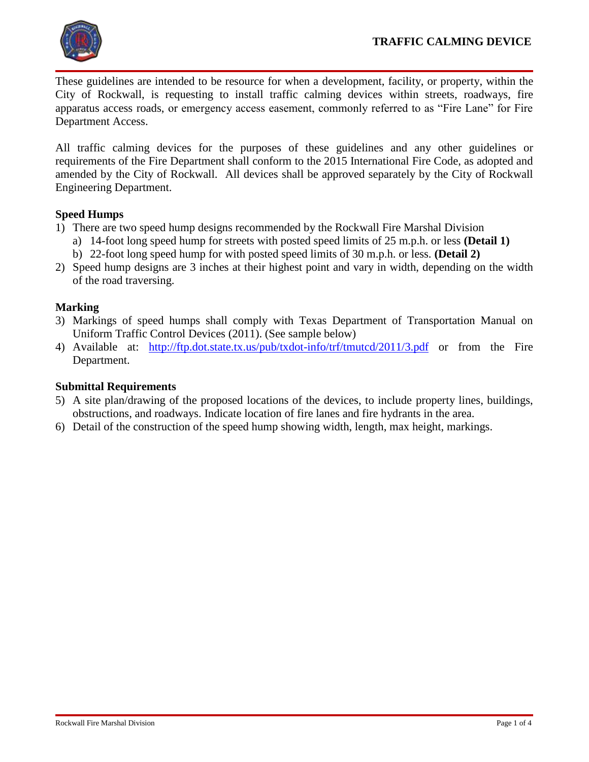

These guidelines are intended to be resource for when a development, facility, or property, within the City of Rockwall, is requesting to install traffic calming devices within streets, roadways, fire apparatus access roads, or emergency access easement, commonly referred to as "Fire Lane" for Fire Department Access.

All traffic calming devices for the purposes of these guidelines and any other guidelines or requirements of the Fire Department shall conform to the 2015 International Fire Code, as adopted and amended by the City of Rockwall. All devices shall be approved separately by the City of Rockwall Engineering Department.

## **Speed Humps**

- 1) There are two speed hump designs recommended by the Rockwall Fire Marshal Division
	- a) 14-foot long speed hump for streets with posted speed limits of 25 m.p.h. or less **(Detail 1)**
	- b) 22-foot long speed hump for with posted speed limits of 30 m.p.h. or less. **(Detail 2)**
- 2) Speed hump designs are 3 inches at their highest point and vary in width, depending on the width of the road traversing.

## **Marking**

- 3) Markings of speed humps shall comply with Texas Department of Transportation Manual on Uniform Traffic Control Devices (2011). (See sample below)
- 4) Available at: <http://ftp.dot.state.tx.us/pub/txdot-info/trf/tmutcd/2011/3.pdf> or from the Fire Department.

## **Submittal Requirements**

- 5) A site plan/drawing of the proposed locations of the devices, to include property lines, buildings, obstructions, and roadways. Indicate location of fire lanes and fire hydrants in the area.
- 6) Detail of the construction of the speed hump showing width, length, max height, markings.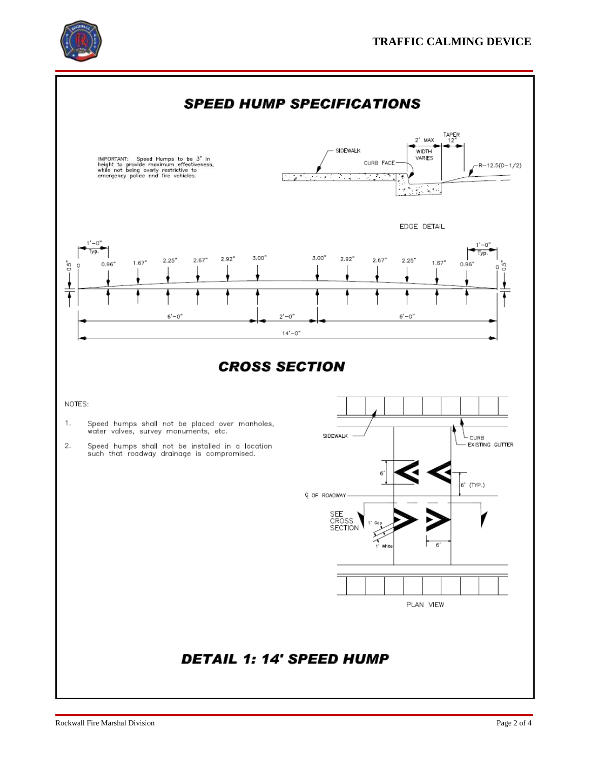

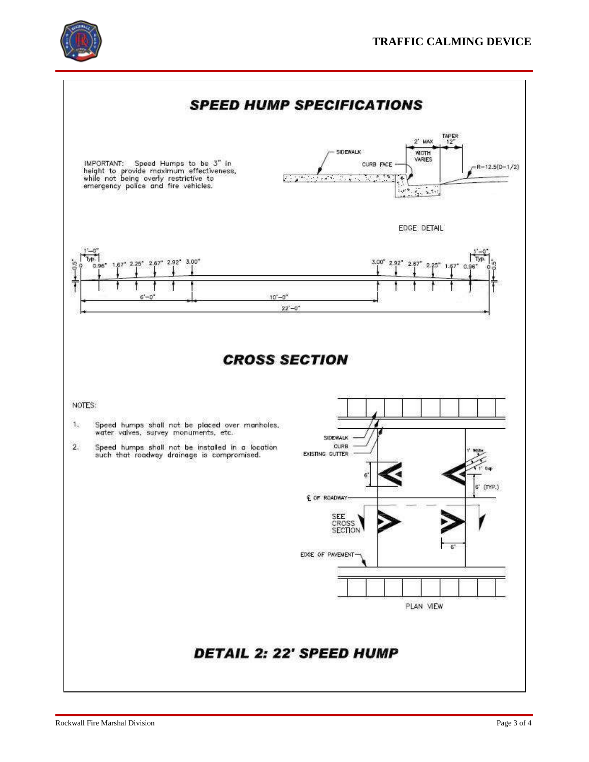